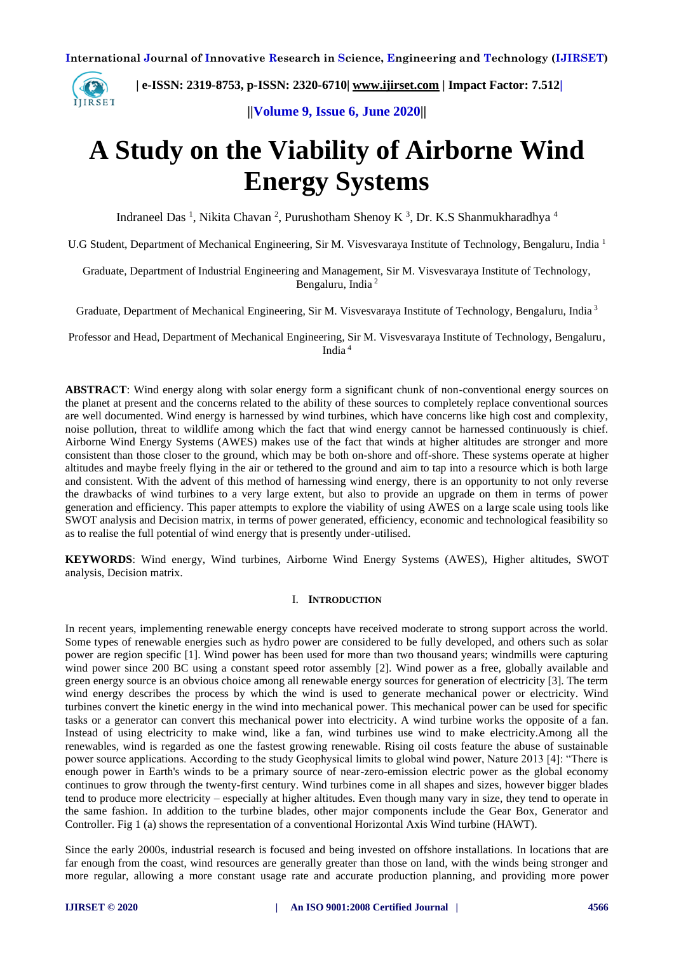

 **| e-ISSN: 2319-8753, p-ISSN: 2320-6710| [www.ijirset.com](http://www.ijirset.com/) | Impact Factor: 7.512|**

**||Volume 9, Issue 6, June 2020||** 

# **A Study on the Viability of Airborne Wind Energy Systems**

Indraneel Das<sup>1</sup>, Nikita Chavan<sup>2</sup>, Purushotham Shenoy K<sup>3</sup>, Dr. K.S Shanmukharadhya<sup>4</sup>

U.G Student, Department of Mechanical Engineering, Sir M. Visvesvaraya Institute of Technology, Bengaluru, India <sup>1</sup>

Graduate, Department of Industrial Engineering and Management, Sir M. Visvesvaraya Institute of Technology, Bengaluru, India <sup>2</sup>

Graduate, Department of Mechanical Engineering, Sir M. Visvesvaraya Institute of Technology, Bengaluru, India <sup>3</sup>

Professor and Head, Department of Mechanical Engineering, Sir M. Visvesvaraya Institute of Technology, Bengaluru, India <sup>4</sup>

**ABSTRACT**: Wind energy along with solar energy form a significant chunk of non-conventional energy sources on the planet at present and the concerns related to the ability of these sources to completely replace conventional sources are well documented. Wind energy is harnessed by wind turbines, which have concerns like high cost and complexity, noise pollution, threat to wildlife among which the fact that wind energy cannot be harnessed continuously is chief. Airborne Wind Energy Systems (AWES) makes use of the fact that winds at higher altitudes are stronger and more consistent than those closer to the ground, which may be both on-shore and off-shore. These systems operate at higher altitudes and maybe freely flying in the air or tethered to the ground and aim to tap into a resource which is both large and consistent. With the advent of this method of harnessing wind energy, there is an opportunity to not only reverse the drawbacks of wind turbines to a very large extent, but also to provide an upgrade on them in terms of power generation and efficiency. This paper attempts to explore the viability of using AWES on a large scale using tools like SWOT analysis and Decision matrix, in terms of power generated, efficiency, economic and technological feasibility so as to realise the full potential of wind energy that is presently under-utilised.

**KEYWORDS**: Wind energy, Wind turbines, Airborne Wind Energy Systems (AWES), Higher altitudes, SWOT analysis, Decision matrix.

#### I. **INTRODUCTION**

In recent years, implementing renewable energy concepts have received moderate to strong support across the world. Some types of renewable energies such as hydro power are considered to be fully developed, and others such as solar power are region specific [1]. Wind power has been used for more than two thousand years; windmills were capturing wind power since 200 BC using a constant speed rotor assembly [2]. Wind power as a free, globally available and green energy source is an obvious choice among all renewable energy sources for generation of electricity [3]. The term wind energy describes the process by which the wind is used to generate mechanical power or electricity. Wind turbines convert the kinetic energy in the wind into mechanical power. This mechanical power can be used for specific tasks or a generator can convert this mechanical power into electricity. A wind turbine works the opposite of a fan. Instead of using electricity to make wind, like a fan, wind turbines use wind to make electricity.Among all the renewables, wind is regarded as one the fastest growing renewable. Rising oil costs feature the abuse of sustainable power source applications. According to the study Geophysical limits to global wind power, Nature 2013 [4]: "There is enough power in Earth's winds to be a primary source of near-zero-emission electric power as the global economy continues to grow through the twenty-first century. Wind turbines come in all shapes and sizes, however bigger blades tend to produce more electricity – especially at higher altitudes. Even though many vary in size, they tend to operate in the same fashion. In addition to the turbine blades, other major components include the Gear Box, Generator and Controller. Fig 1 (a) shows the representation of a conventional Horizontal Axis Wind turbine (HAWT).

Since the early 2000s, industrial research is focused and being invested on offshore installations. In locations that are far enough from the coast, wind resources are generally greater than those on land, with the winds being stronger and more regular, allowing a more constant usage rate and accurate production planning, and providing more power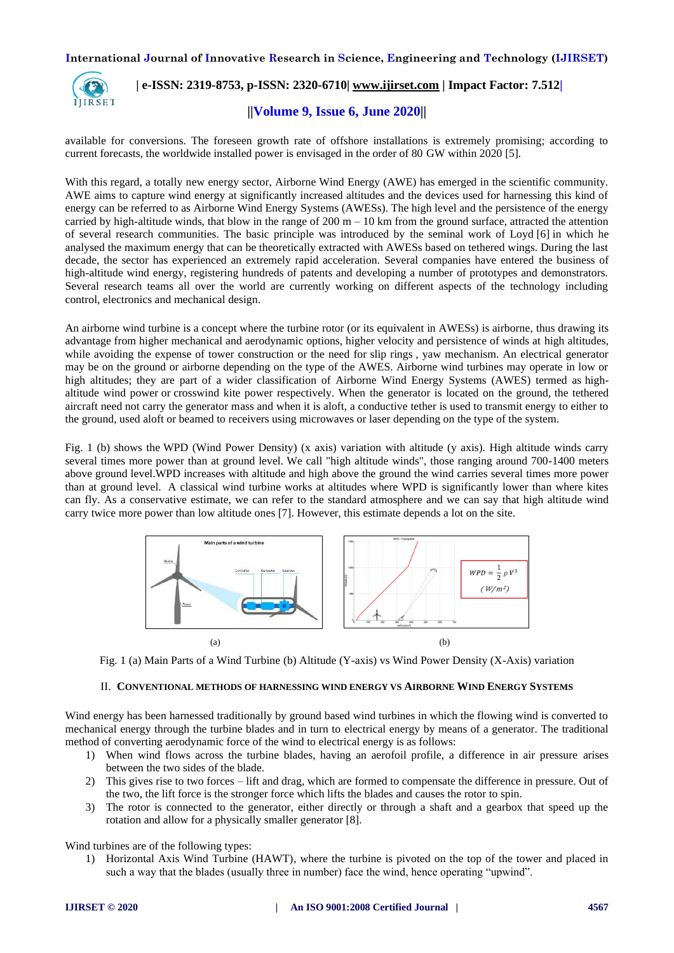

## **| e-ISSN: 2319-8753, p-ISSN: 2320-6710| [www.ijirset.com](http://www.ijirset.com/) | Impact Factor: 7.512|**

## **||Volume 9, Issue 6, June 2020||**

available for conversions. The foreseen growth rate of offshore installations is extremely promising; according to current forecasts, the worldwide installed power is envisaged in the order of 80 GW within 2020 [5].

With this regard, a totally new energy sector, Airborne Wind Energy (AWE) has emerged in the scientific community. AWE aims to capture wind energy at significantly increased altitudes and the devices used for harnessing this kind of energy can be referred to as Airborne Wind Energy Systems (AWESs). The high level and the persistence of the energy carried by high-altitude winds, that blow in the range of 200 m  $-$  10 km from the ground surface, attracted the attention of several research communities. The basic principle was introduced by the seminal work of Loyd [6] in which he analysed the maximum energy that can be theoretically extracted with AWESs based on tethered wings. During the last decade, the sector has experienced an extremely rapid acceleration. Several companies have entered the business of high-altitude wind energy, registering hundreds of patents and developing a number of prototypes and demonstrators. Several research teams all over the world are currently working on different aspects of the technology including control, electronics and mechanical design.

An airborne wind turbine is a concept where the turbine rotor (or its equivalent in AWESs) is airborne, thus drawing its advantage from higher mechanical and aerodynamic options, higher velocity and persistence of winds at high altitudes, while avoiding the expense of tower construction or the need for slip rings, yaw mechanism. An electrical generator may be on the ground or airborne depending on the type of the AWES. Airborne wind turbines may operate in low or high altitudes; they are part of a wider classification of Airborne Wind Energy Systems (AWES) termed as highaltitude wind power or crosswind kite power respectively. When the generator is located on the ground, the tethered aircraft need not carry the generator mass and when it is aloft, a conductive tether is used to transmit energy to either to the ground, used aloft or beamed to receivers using microwaves or laser depending on the type of the system.

Fig. 1 (b) shows the WPD (Wind Power Density) (x axis) variation with altitude (y axis). High altitude winds carry several times more power than at ground level. We call "high altitude winds", those ranging around 700-1400 meters above ground level.WPD increases with altitude and high above the ground the wind carries several times more power than at ground level. A classical wind turbine works at altitudes where WPD is significantly lower than where kites can fly. As a conservative estimate, we can refer to the standard atmosphere and we can say that high altitude wind carry twice more power than low altitude ones [7]. However, this estimate depends a lot on the site.



Fig. 1 (a) Main Parts of a Wind Turbine (b) Altitude (Y-axis) vs Wind Power Density (X-Axis) variation

## II. **CONVENTIONAL METHODS OF HARNESSING WIND ENERGY VS AIRBORNE WIND ENERGY SYSTEMS**

Wind energy has been harnessed traditionally by ground based wind turbines in which the flowing wind is converted to mechanical energy through the turbine blades and in turn to electrical energy by means of a generator. The traditional method of converting aerodynamic force of the wind to electrical energy is as follows:

- 1) When wind flows across the turbine blades, having an aerofoil profile, a difference in air pressure arises between the two sides of the blade.
- 2) This gives rise to two forces lift and drag, which are formed to compensate the difference in pressure. Out of the two, the lift force is the stronger force which lifts the blades and causes the rotor to spin.
- 3) The rotor is connected to the generator, either directly or through a shaft and a gearbox that speed up the rotation and allow for a physically smaller generator [8].

Wind turbines are of the following types:

1) Horizontal Axis Wind Turbine (HAWT), where the turbine is pivoted on the top of the tower and placed in such a way that the blades (usually three in number) face the wind, hence operating "upwind".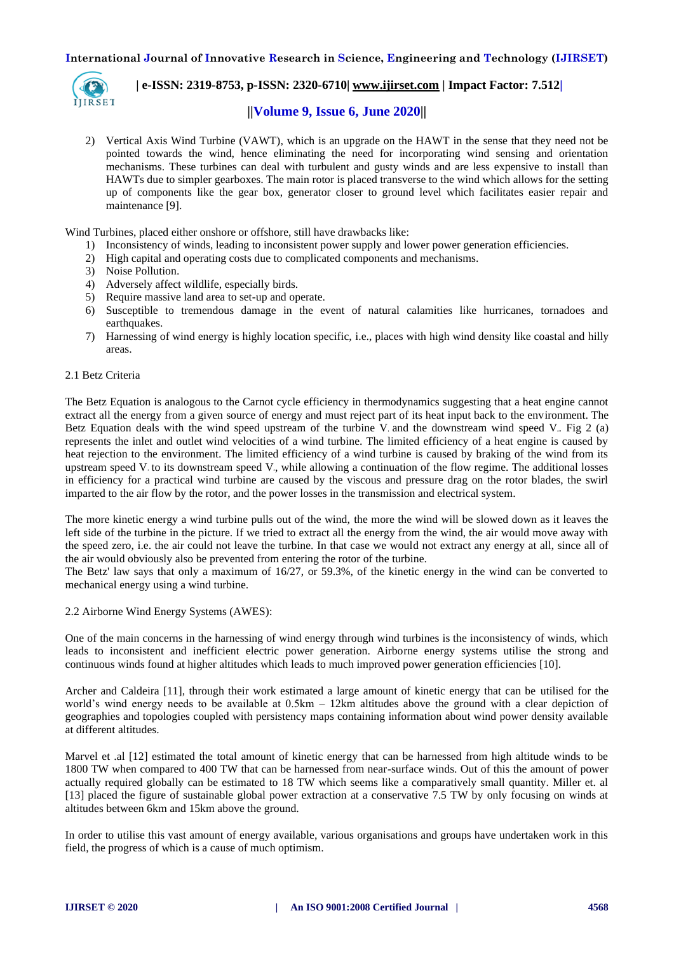

## **| e-ISSN: 2319-8753, p-ISSN: 2320-6710| [www.ijirset.com](http://www.ijirset.com/) | Impact Factor: 7.512|**

## **||Volume 9, Issue 6, June 2020||**

2) Vertical Axis Wind Turbine (VAWT), which is an upgrade on the HAWT in the sense that they need not be pointed towards the wind, hence eliminating the need for incorporating wind sensing and orientation mechanisms. These turbines can deal with turbulent and gusty winds and are less expensive to install than HAWTs due to simpler gearboxes. The main rotor is placed transverse to the wind which allows for the setting up of components like the gear box, generator closer to ground level which facilitates easier repair and maintenance [9].

Wind Turbines, placed either onshore or offshore, still have drawbacks like:

- 1) Inconsistency of winds, leading to inconsistent power supply and lower power generation efficiencies.
- 2) High capital and operating costs due to complicated components and mechanisms.
- 3) Noise Pollution.
- 4) Adversely affect wildlife, especially birds.
- 5) Require massive land area to set-up and operate.
- 6) Susceptible to tremendous damage in the event of natural calamities like hurricanes, tornadoes and earthquakes.
- 7) Harnessing of wind energy is highly location specific, i.e., places with high wind density like coastal and hilly areas.

#### 2.1 Betz Criteria

The Betz Equation is analogous to the Carnot cycle efficiency in thermodynamics suggesting that a heat engine cannot extract all the energy from a given source of energy and must reject part of its heat input back to the environment. The Betz Equation deals with the wind speed upstream of the turbine V<sub>i</sub> and the downstream wind speed V<sub>i</sub>. Fig 2 (a) represents the inlet and outlet wind velocities of a wind turbine. The limited efficiency of a heat engine is caused by heat rejection to the environment. The limited efficiency of a wind turbine is caused by braking of the wind from its upstream speed  $V_1$  to its downstream speed  $V_2$ , while allowing a continuation of the flow regime. The additional losses in efficiency for a practical wind turbine are caused by the viscous and pressure drag on the rotor blades, the swirl imparted to the air flow by the rotor, and the power losses in the transmission and electrical system.

The more kinetic energy a wind turbine pulls out of the wind, the more the wind will be slowed down as it leaves the left side of the turbine in the picture. If we tried to extract all the energy from the wind, the air would move away with the speed zero, i.e. the air could not leave the turbine. In that case we would not extract any energy at all, since all of the air would obviously also be prevented from entering the rotor of the turbine.

The Betz' law says that only a maximum of 16/27, or 59.3%, of the kinetic energy in the wind can be converted to mechanical energy using a wind turbine.

#### 2.2 Airborne Wind Energy Systems (AWES):

One of the main concerns in the harnessing of wind energy through wind turbines is the inconsistency of winds, which leads to inconsistent and inefficient electric power generation. Airborne energy systems utilise the strong and continuous winds found at higher altitudes which leads to much improved power generation efficiencies [10].

Archer and Caldeira [11], through their work estimated a large amount of kinetic energy that can be utilised for the world's wind energy needs to be available at 0.5km – 12km altitudes above the ground with a clear depiction of geographies and topologies coupled with persistency maps containing information about wind power density available at different altitudes.

Marvel et .al [12] estimated the total amount of kinetic energy that can be harnessed from high altitude winds to be 1800 TW when compared to 400 TW that can be harnessed from near-surface winds. Out of this the amount of power actually required globally can be estimated to 18 TW which seems like a comparatively small quantity. Miller et. al [13] placed the figure of sustainable global power extraction at a conservative 7.5 TW by only focusing on winds at altitudes between 6km and 15km above the ground.

In order to utilise this vast amount of energy available, various organisations and groups have undertaken work in this field, the progress of which is a cause of much optimism.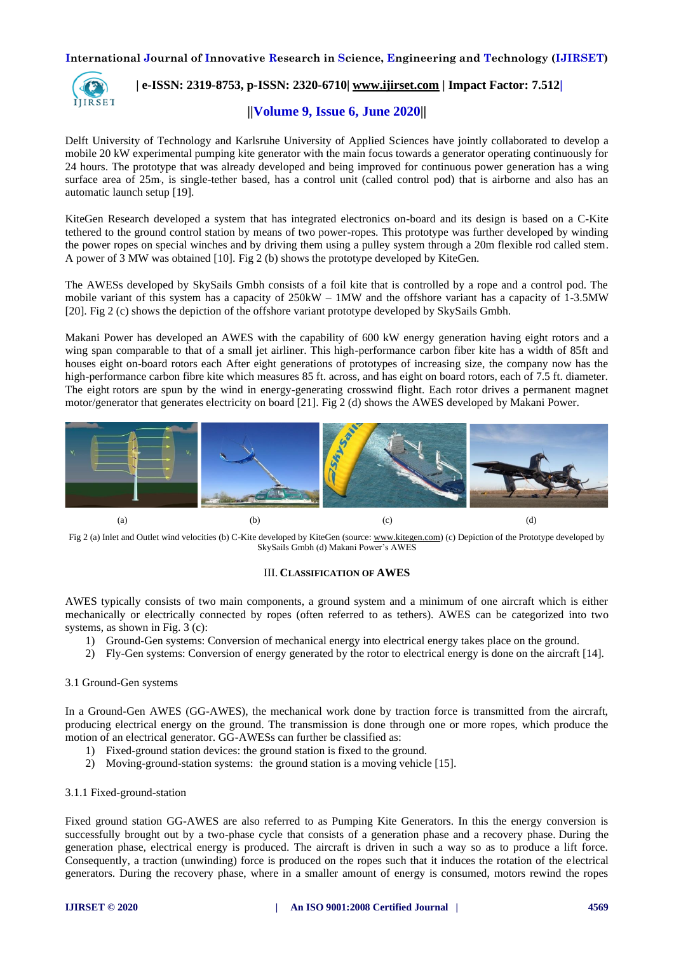

## **| e-ISSN: 2319-8753, p-ISSN: 2320-6710| [www.ijirset.com](http://www.ijirset.com/) | Impact Factor: 7.512|**

## **||Volume 9, Issue 6, June 2020||**

Delft University of Technology and Karlsruhe University of Applied Sciences have jointly collaborated to develop a mobile 20 kW experimental pumping kite generator with the main focus towards a generator operating continuously for 24 hours. The prototype that was already developed and being improved for continuous power generation has a wing surface area of 25m, is single-tether based, has a control unit (called control pod) that is airborne and also has an automatic launch setup [19].

KiteGen Research developed a system that has integrated electronics on-board and its design is based on a C-Kite tethered to the ground control station by means of two power-ropes. This prototype was further developed by winding the power ropes on special winches and by driving them using a pulley system through a 20m flexible rod called stem. A power of 3 MW was obtained [10]. Fig 2 (b) shows the prototype developed by KiteGen.

The AWESs developed by SkySails Gmbh consists of a foil kite that is controlled by a rope and a control pod. The mobile variant of this system has a capacity of 250kW – 1MW and the offshore variant has a capacity of 1-3.5MW [20]. Fig 2 (c) shows the depiction of the offshore variant prototype developed by SkySails Gmbh.

Makani Power has developed an AWES with the capability of 600 kW energy generation having eight rotors and a wing span comparable to that of a small jet airliner. This high-performance carbon fiber kite has a width of 85ft and houses eight on-board rotors each After eight generations of prototypes of increasing size, the company now has the high-performance carbon fibre kite which measures 85 ft. across, and has eight on board rotors, each of 7.5 ft. diameter. The eight rotors are spun by the wind in energy-generating crosswind flight. Each rotor drives a permanent magnet motor/generator that generates electricity on board [21]. Fig 2 (d) shows the AWES developed by Makani Power.



Fig 2 (a) Inlet and Outlet wind velocities (b) C-Kite developed by KiteGen (source[: www.kitegen.com\)](http://www.kitegen.com/) (c) Depiction of the Prototype developed by SkySails Gmbh (d) Makani Power's AWES

#### III. **CLASSIFICATION OF AWES**

AWES typically consists of two main components, a ground system and a minimum of one aircraft which is either mechanically or electrically connected by ropes (often referred to as tethers). AWES can be categorized into two systems, as shown in Fig. 3 (c):

- 1) Ground-Gen systems: Conversion of mechanical energy into electrical energy takes place on the ground.
- 2) Fly-Gen systems: Conversion of energy generated by the rotor to electrical energy is done on the aircraft [14].

#### 3.1 Ground-Gen systems

In a Ground-Gen AWES (GG-AWES), the mechanical work done by traction force is transmitted from the aircraft, producing electrical energy on the ground. The transmission is done through one or more ropes, which produce the motion of an electrical generator. GG-AWESs can further be classified as:

- 1) Fixed-ground station devices: the ground station is fixed to the ground.
- 2) Moving-ground-station systems: the ground station is a moving vehicle [15].

#### 3.1.1 Fixed-ground-station

Fixed ground station GG-AWES are also referred to as Pumping Kite Generators. In this the energy conversion is successfully brought out by a two-phase cycle that consists of a generation phase and a recovery phase. During the generation phase, electrical energy is produced. The aircraft is driven in such a way so as to produce a lift force. Consequently, a traction (unwinding) force is produced on the ropes such that it induces the rotation of the electrical generators. During the recovery phase, where in a smaller amount of energy is consumed, motors rewind the ropes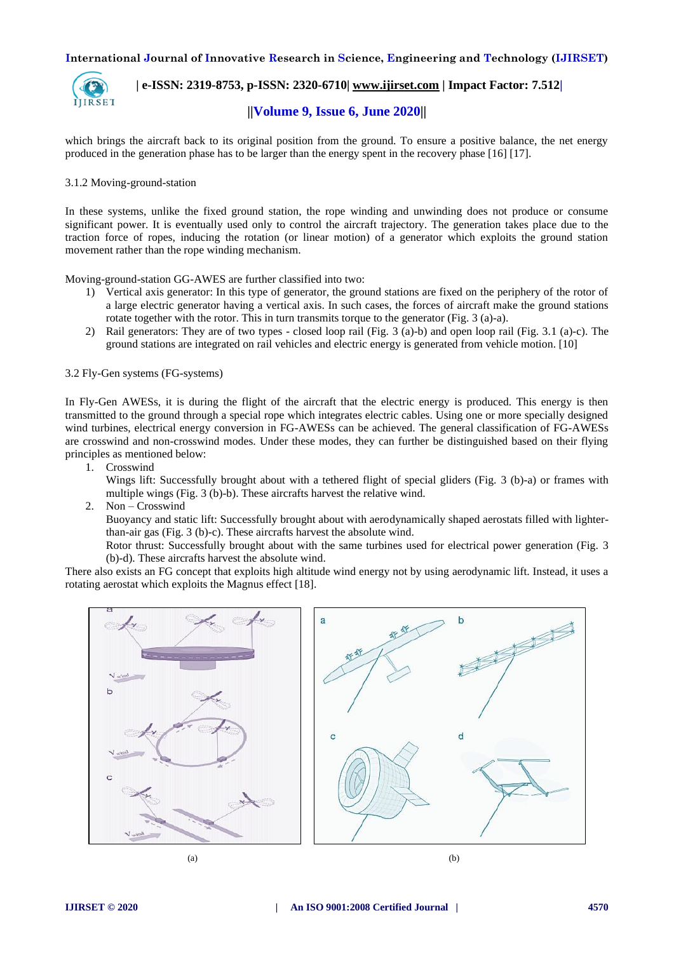

 **| e-ISSN: 2319-8753, p-ISSN: 2320-6710| [www.ijirset.com](http://www.ijirset.com/) | Impact Factor: 7.512|**

## **||Volume 9, Issue 6, June 2020||**

which brings the aircraft back to its original position from the ground. To ensure a positive balance, the net energy produced in the generation phase has to be larger than the energy spent in the recovery phase [16] [17].

### 3.1.2 Moving-ground-station

In these systems, unlike the fixed ground station, the rope winding and unwinding does not produce or consume significant power. It is eventually used only to control the aircraft trajectory. The generation takes place due to the traction force of ropes, inducing the rotation (or linear motion) of a generator which exploits the ground station movement rather than the rope winding mechanism.

Moving-ground-station GG-AWES are further classified into two:

- 1) Vertical axis generator: In this type of generator, the ground stations are fixed on the periphery of the rotor of a large electric generator having a vertical axis. In such cases, the forces of aircraft make the ground stations rotate together with the rotor. This in turn transmits torque to the generator (Fig. 3 (a)-a).
- 2) Rail generators: They are of two types closed loop rail (Fig. 3 (a)-b) and open loop rail (Fig. 3.1 (a)-c). The ground stations are integrated on rail vehicles and electric energy is generated from vehicle motion. [10]

## 3.2 Fly-Gen systems (FG-systems)

In Fly-Gen AWESs, it is during the flight of the aircraft that the electric energy is produced. This energy is then transmitted to the ground through a special rope which integrates electric cables. Using one or more specially designed wind turbines, electrical energy conversion in FG-AWESs can be achieved. The general classification of FG-AWESs are crosswind and non-crosswind modes. Under these modes, they can further be distinguished based on their flying principles as mentioned below:

1. Crosswind

Wings lift: Successfully brought about with a tethered flight of special gliders (Fig. 3 (b)-a) or frames with multiple wings (Fig. 3 (b)-b). These aircrafts harvest the relative wind.

2. Non – Crosswind

Buoyancy and static lift: Successfully brought about with aerodynamically shaped aerostats filled with lighterthan-air gas (Fig. 3 (b)-c). These aircrafts harvest the absolute wind.

Rotor thrust: Successfully brought about with the same turbines used for electrical power generation (Fig. 3 (b)-d). These aircrafts harvest the absolute wind.

There also exists an FG concept that exploits high altitude wind energy not by using aerodynamic lift. Instead, it uses a rotating aerostat which exploits the Magnus effect [18].

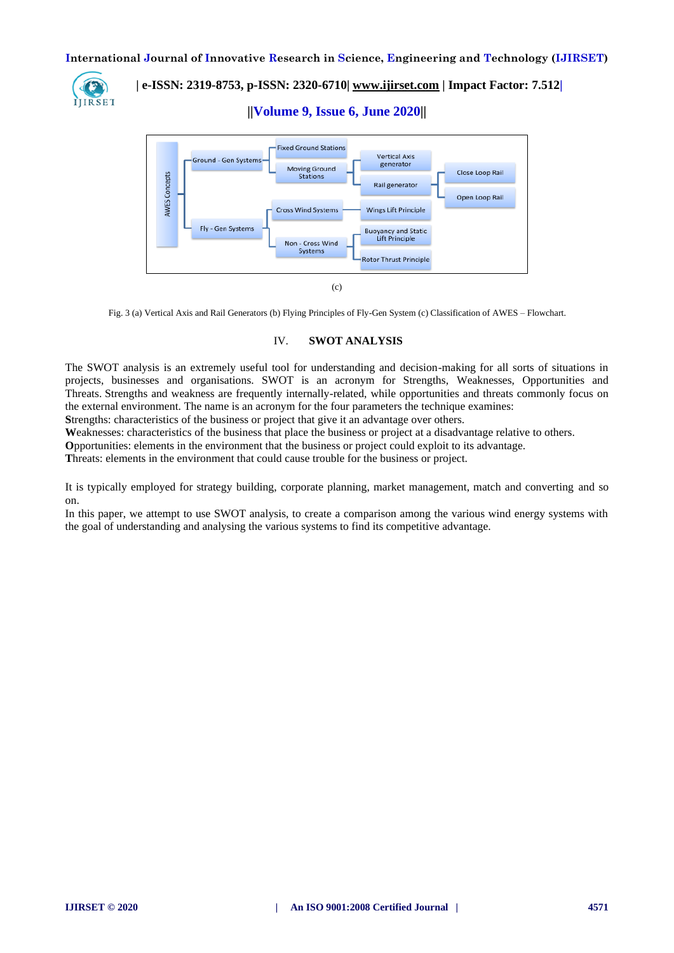

 **| e-ISSN: 2319-8753, p-ISSN: 2320-6710| [www.ijirset.com](http://www.ijirset.com/) | Impact Factor: 7.512|**

**||Volume 9, Issue 6, June 2020||** 



Fig. 3 (a) Vertical Axis and Rail Generators (b) Flying Principles of Fly-Gen System (c) Classification of AWES – Flowchart.

## IV. **SWOT ANALYSIS**

The SWOT analysis is an extremely useful tool for understanding and decision-making for all sorts of situations in projects, businesses and organisations. SWOT is an acronym for Strengths, Weaknesses, Opportunities and Threats. Strengths and weakness are frequently internally-related, while opportunities and threats commonly focus on the external environment. The name is an acronym for the four parameters the technique examines:

**S**trengths: characteristics of the business or project that give it an advantage over others.

**W**eaknesses: characteristics of the business that place the business or project at a disadvantage relative to others.

**O**pportunities: elements in the environment that the business or project could exploit to its advantage.

**T**hreats: elements in the environment that could cause trouble for the business or project.

It is typically employed for strategy building, corporate planning, market management, match and converting and so on.

In this paper, we attempt to use SWOT analysis, to create a comparison among the various wind energy systems with the goal of understanding and analysing the various systems to find its competitive advantage.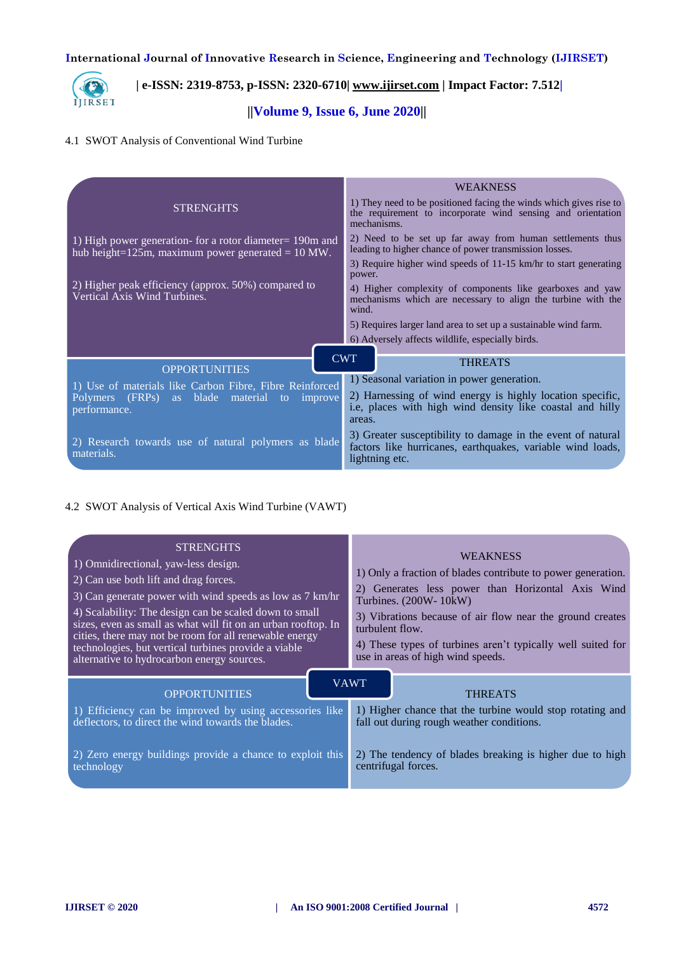

# **| e-ISSN: 2319-8753, p-ISSN: 2320-6710| [www.ijirset.com](http://www.ijirset.com/) | Impact Factor: 7.512|**

## **||Volume 9, Issue 6, June 2020||**

## 4.1 SWOT Analysis of Conventional Wind Turbine

|                                                                                                                          | <b>WEAKNESS</b>                                                                                                                                  |  |  |
|--------------------------------------------------------------------------------------------------------------------------|--------------------------------------------------------------------------------------------------------------------------------------------------|--|--|
| <b>STRENGHTS</b>                                                                                                         | 1) They need to be positioned facing the winds which gives rise to<br>the requirement to incorporate wind sensing and orientation<br>mechanisms. |  |  |
| 1) High power generation- for a rotor diameter= 190m and<br>hub height=125m, maximum power generated = $10 \text{ MW}$ . | 2) Need to be set up far away from human settlements thus<br>leading to higher chance of power transmission losses.                              |  |  |
|                                                                                                                          | 3) Require higher wind speeds of 11-15 km/hr to start generating<br>power.                                                                       |  |  |
| 2) Higher peak efficiency (approx. 50%) compared to<br>Vertical Axis Wind Turbines.                                      | 4) Higher complexity of components like gearboxes and yaw<br>mechanisms which are necessary to align the turbine with the<br>wind.               |  |  |
|                                                                                                                          | 5) Requires larger land area to set up a sustainable wind farm.                                                                                  |  |  |
|                                                                                                                          | 6) Adversely affects wildlife, especially birds.                                                                                                 |  |  |
| <b>OPPORTUNITIES</b>                                                                                                     | <b>CWT</b><br><b>THREATS</b>                                                                                                                     |  |  |
| 1) Use of materials like Carbon Fibre, Fibre Reinforced                                                                  | 1) Seasonal variation in power generation.                                                                                                       |  |  |
| Polymers (FRPs) as blade material to improve<br>performance.                                                             | 2) Harnessing of wind energy is highly location specific,<br>i.e, places with high wind density like coastal and hilly<br>areas.                 |  |  |
| 2) Research towards use of natural polymers as blade<br>materials.                                                       | 3) Greater susceptibility to damage in the event of natural<br>factors like hurricanes, earthquakes, variable wind loads,<br>lightning etc.      |  |  |

## 4.2 SWOT Analysis of Vertical Axis Wind Turbine (VAWT)

| <b>STRENGHTS</b><br>1) Omnidirectional, yaw-less design.<br>2) Can use both lift and drag forces.<br>3) Can generate power with wind speeds as low as 7 km/hr<br>4) Scalability: The design can be scaled down to small<br>sizes, even as small as what will fit on an urban rooftop. In<br>cities, there may not be room for all renewable energy<br>technologies, but vertical turbines provide a viable<br>alternative to hydrocarbon energy sources. | <b>WEAKNESS</b><br>1) Only a fraction of blades contribute to power generation.<br>2) Generates less power than Horizontal Axis Wind<br>Turbines. (200W- 10kW)<br>3) Vibrations because of air flow near the ground creates<br>turbulent flow.<br>4) These types of turbines aren't typically well suited for<br>use in areas of high wind speeds. |  |  |
|----------------------------------------------------------------------------------------------------------------------------------------------------------------------------------------------------------------------------------------------------------------------------------------------------------------------------------------------------------------------------------------------------------------------------------------------------------|----------------------------------------------------------------------------------------------------------------------------------------------------------------------------------------------------------------------------------------------------------------------------------------------------------------------------------------------------|--|--|
| <b>OPPORTUNITIES</b>                                                                                                                                                                                                                                                                                                                                                                                                                                     | <b>VAWT</b><br><b>THREATS</b>                                                                                                                                                                                                                                                                                                                      |  |  |
| 1) Efficiency can be improved by using accessories like                                                                                                                                                                                                                                                                                                                                                                                                  | 1) Higher chance that the turbine would stop rotating and                                                                                                                                                                                                                                                                                          |  |  |
| deflectors, to direct the wind towards the blades.                                                                                                                                                                                                                                                                                                                                                                                                       | fall out during rough weather conditions.                                                                                                                                                                                                                                                                                                          |  |  |
| 2) Zero energy buildings provide a chance to exploit this                                                                                                                                                                                                                                                                                                                                                                                                | 2) The tendency of blades breaking is higher due to high                                                                                                                                                                                                                                                                                           |  |  |
| technology                                                                                                                                                                                                                                                                                                                                                                                                                                               | centrifugal forces.                                                                                                                                                                                                                                                                                                                                |  |  |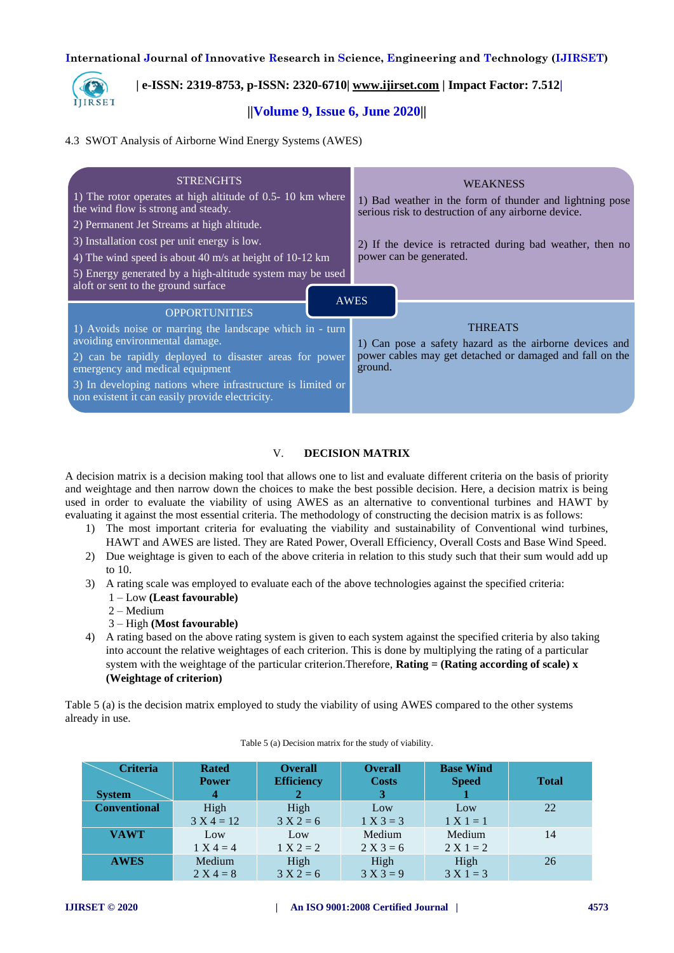

## **| e-ISSN: 2319-8753, p-ISSN: 2320-6710| [www.ijirset.com](http://www.ijirset.com/) | Impact Factor: 7.512|**

## **||Volume 9, Issue 6, June 2020||**

#### 4.3 SWOT Analysis of Airborne Wind Energy Systems (AWES)

| <b>STRENGHTS</b><br>1) The rotor operates at high altitude of 0.5-10 km where<br>the wind flow is strong and steady. | <b>WEAKNESS</b><br>1) Bad weather in the form of thunder and lightning pose<br>serious risk to destruction of any airborne device. |  |  |
|----------------------------------------------------------------------------------------------------------------------|------------------------------------------------------------------------------------------------------------------------------------|--|--|
| 2) Permanent Jet Streams at high altitude.                                                                           |                                                                                                                                    |  |  |
| 3) Installation cost per unit energy is low.                                                                         | 2) If the device is retracted during bad weather, then no                                                                          |  |  |
| 4) The wind speed is about 40 m/s at height of 10-12 km                                                              | power can be generated.                                                                                                            |  |  |
| 5) Energy generated by a high-altitude system may be used<br>aloft or sent to the ground surface                     |                                                                                                                                    |  |  |
| <b>AWES</b><br><b>OPPORTUNITIES</b>                                                                                  |                                                                                                                                    |  |  |
| 1) Avoids noise or marring the landscape which in - turn<br>avoiding environmental damage.                           | <b>THREATS</b><br>1) Can pose a safety hazard as the airborne devices and                                                          |  |  |
| 2) can be rapidly deployed to disaster areas for power<br>emergency and medical equipment                            | power cables may get detached or damaged and fall on the<br>ground.                                                                |  |  |
| 3) In developing nations where infrastructure is limited or<br>non existent it can easily provide electricity.       |                                                                                                                                    |  |  |

## V. **DECISION MATRIX**

A decision matrix is a decision making tool that allows one to list and evaluate different criteria on the basis of priority and weightage and then narrow down the choices to make the best possible decision. Here, a decision matrix is being used in order to evaluate the viability of using AWES as an alternative to conventional turbines and HAWT by evaluating it against the most essential criteria. The methodology of constructing the decision matrix is as follows:

- 1) The most important criteria for evaluating the viability and sustainability of Conventional wind turbines, HAWT and AWES are listed. They are Rated Power, Overall Efficiency, Overall Costs and Base Wind Speed.
- 2) Due weightage is given to each of the above criteria in relation to this study such that their sum would add up to 10.
- 3) A rating scale was employed to evaluate each of the above technologies against the specified criteria:
	- 1 Low **(Least favourable)**
	- 2 Medium
	- 3 High **(Most favourable)**
- 4) A rating based on the above rating system is given to each system against the specified criteria by also taking into account the relative weightages of each criterion. This is done by multiplying the rating of a particular system with the weightage of the particular criterion.Therefore, **Rating = (Rating according of scale)**  $\bf{x}$ **(Weightage of criterion)**

Table 5 (a) is the decision matrix employed to study the viability of using AWES compared to the other systems already in use.

| <b>Criteria</b><br><b>System</b> | <b>Rated</b><br><b>Power</b><br>4 | <b>Overall</b><br><b>Efficiency</b> | <b>Overall</b><br><b>Costs</b><br>3. | <b>Base Wind</b><br><b>Speed</b> | <b>Total</b> |
|----------------------------------|-----------------------------------|-------------------------------------|--------------------------------------|----------------------------------|--------------|
| <b>Conventional</b>              | High<br>$3 X 4 = 12$              | High<br>$3 X 2 = 6$                 | Low<br>$1 X 3 = 3$                   | Low<br>$1 X 1 = 1$               | 22           |
| <b>VAWT</b>                      | Low<br>$1 X 4 = 4$                | Low<br>$1 X 2 = 2$                  | Medium<br>$2 X 3 = 6$                | Medium<br>$2 X 1 = 2$            | 14           |
| <b>AWES</b>                      | Medium<br>$2 X 4 = 8$             | High<br>$3 X 2 = 6$                 | High<br>$3 X 3 = 9$                  | High<br>$3 X 1 = 3$              | 26           |

#### Table 5 (a) Decision matrix for the study of viability.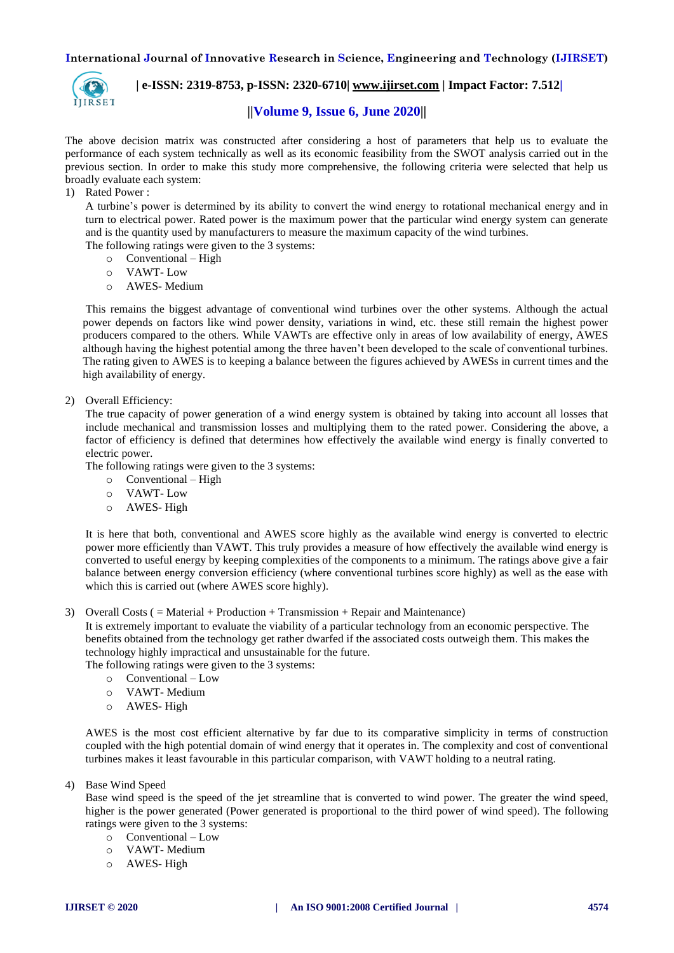

 **| e-ISSN: 2319-8753, p-ISSN: 2320-6710| [www.ijirset.com](http://www.ijirset.com/) | Impact Factor: 7.512|**

## **||Volume 9, Issue 6, June 2020||**

The above decision matrix was constructed after considering a host of parameters that help us to evaluate the performance of each system technically as well as its economic feasibility from the SWOT analysis carried out in the previous section. In order to make this study more comprehensive, the following criteria were selected that help us broadly evaluate each system:

## 1) Rated Power :

A turbine's power is determined by its ability to convert the wind energy to rotational mechanical energy and in turn to electrical power. Rated power is the maximum power that the particular wind energy system can generate and is the quantity used by manufacturers to measure the maximum capacity of the wind turbines.

The following ratings were given to the 3 systems:

- o Conventional High
- o VAWT- Low
- o AWES- Medium

This remains the biggest advantage of conventional wind turbines over the other systems. Although the actual power depends on factors like wind power density, variations in wind, etc. these still remain the highest power producers compared to the others. While VAWTs are effective only in areas of low availability of energy, AWES although having the highest potential among the three haven't been developed to the scale of conventional turbines. The rating given to AWES is to keeping a balance between the figures achieved by AWESs in current times and the high availability of energy.

2) Overall Efficiency:

The true capacity of power generation of a wind energy system is obtained by taking into account all losses that include mechanical and transmission losses and multiplying them to the rated power. Considering the above, a factor of efficiency is defined that determines how effectively the available wind energy is finally converted to electric power.

The following ratings were given to the 3 systems:

- o Conventional High
- o VAWT- Low
- o AWES- High

It is here that both, conventional and AWES score highly as the available wind energy is converted to electric power more efficiently than VAWT. This truly provides a measure of how effectively the available wind energy is converted to useful energy by keeping complexities of the components to a minimum. The ratings above give a fair balance between energy conversion efficiency (where conventional turbines score highly) as well as the ease with which this is carried out (where AWES score highly).

3) Overall Costs ( = Material + Production + Transmission + Repair and Maintenance)

It is extremely important to evaluate the viability of a particular technology from an economic perspective. The benefits obtained from the technology get rather dwarfed if the associated costs outweigh them. This makes the technology highly impractical and unsustainable for the future.

The following ratings were given to the 3 systems:

- o Conventional Low
- o VAWT- Medium
- o AWES- High

AWES is the most cost efficient alternative by far due to its comparative simplicity in terms of construction coupled with the high potential domain of wind energy that it operates in. The complexity and cost of conventional turbines makes it least favourable in this particular comparison, with VAWT holding to a neutral rating.

4) Base Wind Speed

Base wind speed is the speed of the jet streamline that is converted to wind power. The greater the wind speed, higher is the power generated (Power generated is proportional to the third power of wind speed). The following ratings were given to the 3 systems:

- o Conventional Low
- o VAWT- Medium
- o AWES- High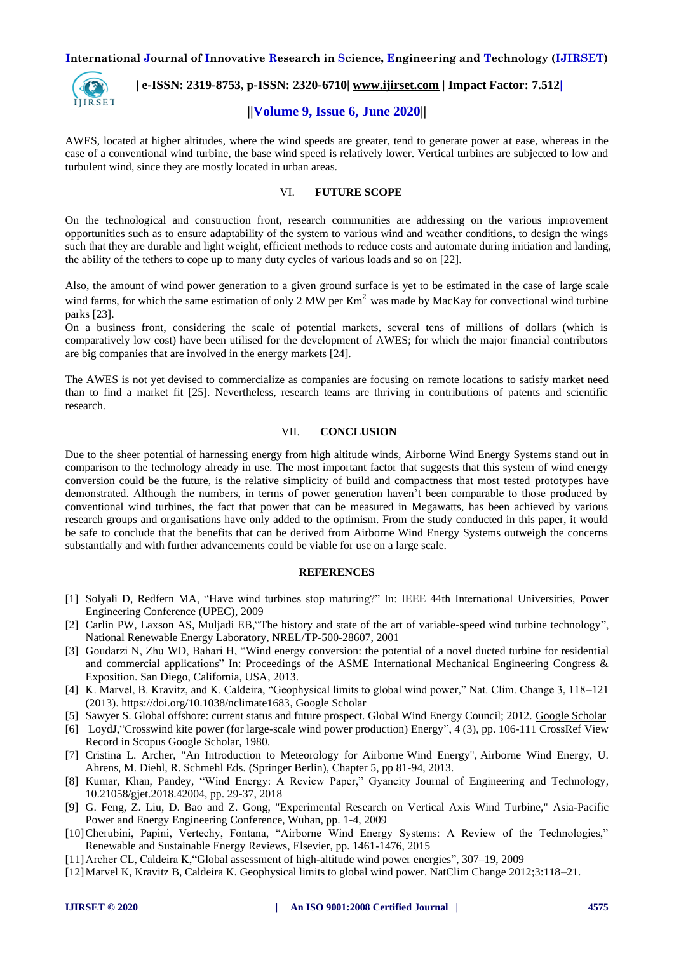

## **| e-ISSN: 2319-8753, p-ISSN: 2320-6710| [www.ijirset.com](http://www.ijirset.com/) | Impact Factor: 7.512|**

## **||Volume 9, Issue 6, June 2020||**

AWES, located at higher altitudes, where the wind speeds are greater, tend to generate power at ease, whereas in the case of a conventional wind turbine, the base wind speed is relatively lower. Vertical turbines are subjected to low and turbulent wind, since they are mostly located in urban areas.

## VI. **FUTURE SCOPE**

On the technological and construction front, research communities are addressing on the various improvement opportunities such as to ensure adaptability of the system to various wind and weather conditions, to design the wings such that they are durable and light weight, efficient methods to reduce costs and automate during initiation and landing, the ability of the tethers to cope up to many duty cycles of various loads and so on [22].

Also, the amount of wind power generation to a given ground surface is yet to be estimated in the case of large scale wind farms, for which the same estimation of only 2 MW per  $Km<sup>2</sup>$  was made by MacKay for convectional wind turbine parks [23].

On a business front, considering the scale of potential markets, several tens of millions of dollars (which is comparatively low cost) have been utilised for the development of AWES; for which the major financial contributors are big companies that are involved in the energy markets [24].

The AWES is not yet devised to commercialize as companies are focusing on remote locations to satisfy market need than to find a market fit [25]. Nevertheless, research teams are thriving in contributions of patents and scientific research.

#### VII. **CONCLUSION**

Due to the sheer potential of harnessing energy from high altitude winds, Airborne Wind Energy Systems stand out in comparison to the technology already in use. The most important factor that suggests that this system of wind energy conversion could be the future, is the relative simplicity of build and compactness that most tested prototypes have demonstrated. Although the numbers, in terms of power generation haven't been comparable to those produced by conventional wind turbines, the fact that power that can be measured in Megawatts, has been achieved by various research groups and organisations have only added to the optimism. From the study conducted in this paper, it would be safe to conclude that the benefits that can be derived from Airborne Wind Energy Systems outweigh the concerns substantially and with further advancements could be viable for use on a large scale.

#### **REFERENCES**

- [1] Solyali D, Redfern MA, "Have wind turbines stop maturing?" In: IEEE 44th International Universities, Power Engineering Conference (UPEC), 2009
- [2] Carlin PW, Laxson AS, Muljadi EB,"The history and state of the art of variable-speed wind turbine technology", National Renewable Energy Laboratory, NREL/TP-500-28607, 2001
- [3] Goudarzi N, Zhu WD, Bahari H, "Wind energy conversion: the potential of a novel ducted turbine for residential and commercial applications" In: Proceedings of the ASME International Mechanical Engineering Congress & Exposition. San Diego, California, USA, 2013.
- [4] K. Marvel, B. Kravitz, and K. Caldeira, "Geophysical limits to global wind power," Nat. Clim. Change 3, 118–121 (2013). [https://doi.org/10.1038/nclimate1683,](https://doi.org/10.1038/nclimate1683) [Google Scholar](http://scholar.google.com/scholar_lookup?hl=en&publication_year=2013&pages=118-121&author=K.+Marvelauthor=B.+Kravitzauthor=K.+Caldeira&title=Geophysical+limits+to+global+wind+power)
- [5] Sawyer S. Global offshore: current status and future prospect. Global Wind Energy Council; 2012. [Google Scholar](https://scholar.google.com/scholar?q=Sawyer%20S.%20Global%20offshore:%20current%20status%20and%20future%20prospect.%20Global%20Wind%20Energy%20Council;%202012.)
- [6] LoydJ, "Crosswind kite power (for large-scale wind power production) Energy", 4 (3), pp. 106-11[1 CrossRef](https://doi.org/10.2514/3.48021) View Record in Scopus Google Scholar, 1980.
- [7] Cristina L. Archer, "An Introduction to Meteorology for Airborne Wind Energy", Airborne Wind Energy, U. Ahrens, M. Diehl, R. Schmehl Eds. (Springer Berlin), Chapter 5, pp 81-94, 2013.
- [8] Kumar, Khan, Pandey, "Wind Energy: A Review Paper," Gyancity Journal of Engineering and Technology, 10.21058/gjet.2018.42004, pp. 29-37, 2018
- [9] G. Feng, Z. Liu, D. Bao and Z. Gong, "Experimental Research on Vertical Axis Wind Turbine," Asia-Pacific Power and Energy Engineering Conference, Wuhan, pp. 1-4, 2009
- [10] Cherubini, Papini, Vertechy, Fontana, "Airborne Wind Energy Systems: A Review of the Technologies," Renewable and Sustainable Energy Reviews, Elsevier, pp. 1461-1476, 2015
- [11]Archer CL, Caldeira K,"Global assessment of high-altitude wind power energies", 307–19, 2009
- [12]Marvel K, Kravitz B, Caldeira K. Geophysical limits to global wind power. NatClim Change 2012;3:118–21.